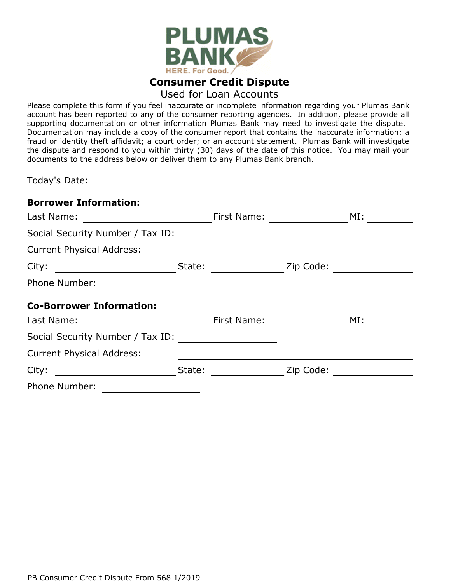

## Used for Loan Accounts

Please complete this form if you feel inaccurate or incomplete information regarding your Plumas Bank account has been reported to any of the consumer reporting agencies. In addition, please provide all supporting documentation or other information Plumas Bank may need to investigate the dispute. Documentation may include a copy of the consumer report that contains the inaccurate information; a fraud or identity theft affidavit; a court order; or an account statement. Plumas Bank will investigate the dispute and respond to you within thirty (30) days of the date of this notice. You may mail your documents to the address below or deliver them to any Plumas Bank branch.

Today's Date:

## **Borrower Information:**

| Last Name:                                                                                                                                                                                                                                    |        | First Name:                  |           | MI: |
|-----------------------------------------------------------------------------------------------------------------------------------------------------------------------------------------------------------------------------------------------|--------|------------------------------|-----------|-----|
| Social Security Number / Tax ID:                                                                                                                                                                                                              |        |                              |           |     |
| <b>Current Physical Address:</b>                                                                                                                                                                                                              |        |                              |           |     |
|                                                                                                                                                                                                                                               |        | State:                       | Zip Code: |     |
| Phone Number:<br><u> 1980 - Andrea Station Books, amerikansk politik (d. 1980)</u>                                                                                                                                                            |        |                              |           |     |
| <b>Co-Borrower Information:</b>                                                                                                                                                                                                               |        |                              |           |     |
| Last Name:<br><u> 1970 - Jan Barbara Barat, prima a</u>                                                                                                                                                                                       |        | First Name: The Solid States |           | MI: |
| Social Security Number / Tax ID:                                                                                                                                                                                                              |        |                              |           |     |
| <b>Current Physical Address:</b>                                                                                                                                                                                                              |        |                              |           |     |
| City:<br><u>and the state of the state of the state of the state of the state of the state of the state of the state of the state of the state of the state of the state of the state of the state of the state of the state of the state</u> | State: |                              | Zip Code: |     |
| Phone Number:                                                                                                                                                                                                                                 |        |                              |           |     |